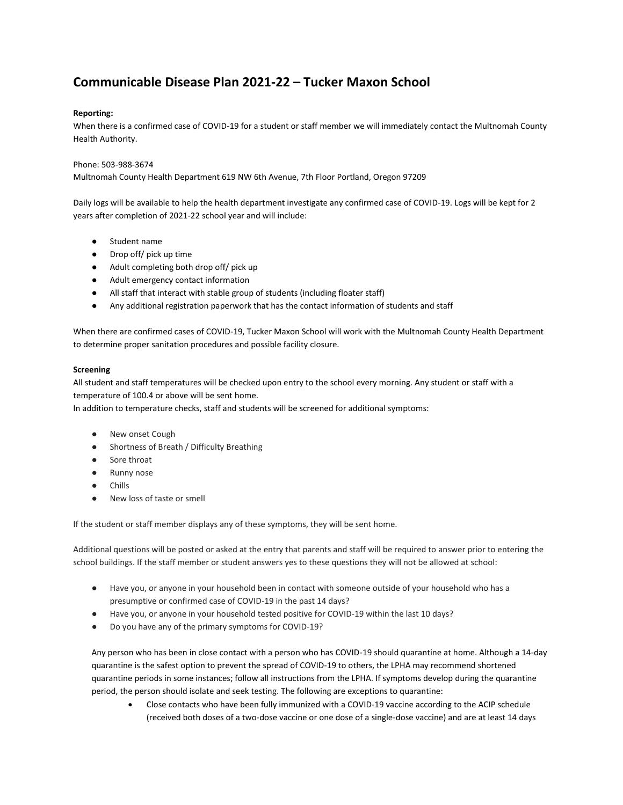## **Communicable Disease Plan 2021-22 – Tucker Maxon School**

## **Reporting:**

When there is a confirmed case of COVID-19 for a student or staff member we will immediately contact the Multnomah County Health Authority.

## Phone: 503-988-3674

Multnomah County Health Department 619 NW 6th Avenue, 7th Floor Portland, Oregon 97209

Daily logs will be available to help the health department investigate any confirmed case of COVID-19. Logs will be kept for 2 years after completion of 2021-22 school year and will include:

- Student name
- Drop off/ pick up time
- Adult completing both drop off/ pick up
- Adult emergency contact information
- All staff that interact with stable group of students (including floater staff)
- Any additional registration paperwork that has the contact information of students and staff

When there are confirmed cases of COVID-19, Tucker Maxon School will work with the Multnomah County Health Department to determine proper sanitation procedures and possible facility closure.

## **Screening**

All student and staff temperatures will be checked upon entry to the school every morning. Any student or staff with a temperature of 100.4 or above will be sent home.

In addition to temperature checks, staff and students will be screened for additional symptoms:

- New onset Cough
- Shortness of Breath / Difficulty Breathing
- Sore throat
- Runny nose
- **Chills**
- New loss of taste or smell

If the student or staff member displays any of these symptoms, they will be sent home.

Additional questions will be posted or asked at the entry that parents and staff will be required to answer prior to entering the school buildings. If the staff member or student answers yes to these questions they will not be allowed at school:

- Have you, or anyone in your household been in contact with someone outside of your household who has a presumptive or confirmed case of COVID-19 in the past 14 days?
- Have you, or anyone in your household tested positive for COVID-19 within the last 10 days?
- Do you have any of the primary symptoms for COVID-19?

Any person who has been in close contact with a person who has COVID-19 should quarantine at home. Although a 14-day quarantine is the safest option to prevent the spread of COVID-19 to others, the LPHA may recommend shortened quarantine periods in some instances; follow all instructions from the LPHA. If symptoms develop during the quarantine period, the person should isolate and seek testing. The following are exceptions to quarantine:

• Close contacts who have been fully immunized with a COVID-19 vaccine according to the ACIP schedule (received both doses of a two-dose vaccine or one dose of a single-dose vaccine) and are at least 14 days